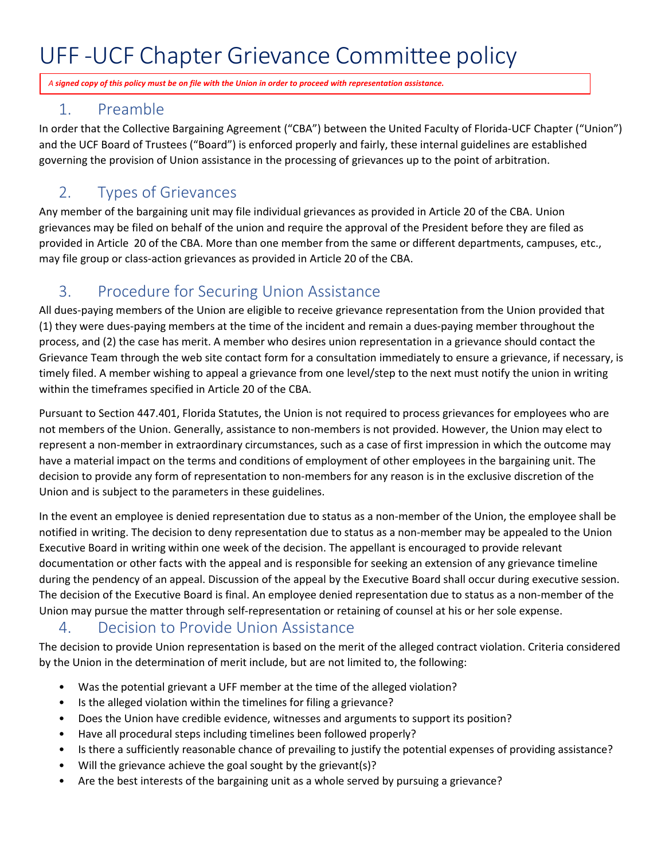## UFF -UCF Chapter Grievance Committee policy

*A signed copy of this policy must be on file with the Union in order to proceed with representation assistance.* 

#### 1. Preamble

In order that the Collective Bargaining Agreement ("CBA") between the United Faculty of Florida-UCF Chapter ("Union") and the UCF Board of Trustees ("Board") is enforced properly and fairly, these internal guidelines are established governing the provision of Union assistance in the processing of grievances up to the point of arbitration.

## 2. Types of Grievances

Any member of the bargaining unit may file individual grievances as provided in Article 20 of the CBA. Union grievances may be filed on behalf of the union and require the approval of the President before they are filed as provided in Article 20 of the CBA. More than one member from the same or different departments, campuses, etc., may file group or class-action grievances as provided in Article 20 of the CBA.

## 3. Procedure for Securing Union Assistance

All dues-paying members of the Union are eligible to receive grievance representation from the Union provided that (1) they were dues-paying members at the time of the incident and remain a dues-paying member throughout the process, and (2) the case has merit. A member who desires union representation in a grievance should contact the Grievance Team through the web site contact form for a consultation immediately to ensure a grievance, if necessary, is timely filed. A member wishing to appeal a grievance from one level/step to the next must notify the union in writing within the timeframes specified in Article 20 of the CBA.

Pursuant to Section 447.401, Florida Statutes, the Union is not required to process grievances for employees who are not members of the Union. Generally, assistance to non-members is not provided. However, the Union may elect to represent a non-member in extraordinary circumstances, such as a case of first impression in which the outcome may have a material impact on the terms and conditions of employment of other employees in the bargaining unit. The decision to provide any form of representation to non-members for any reason is in the exclusive discretion of the Union and is subject to the parameters in these guidelines.

In the event an employee is denied representation due to status as a non-member of the Union, the employee shall be notified in writing. The decision to deny representation due to status as a non-member may be appealed to the Union Executive Board in writing within one week of the decision. The appellant is encouraged to provide relevant documentation or other facts with the appeal and is responsible for seeking an extension of any grievance timeline during the pendency of an appeal. Discussion of the appeal by the Executive Board shall occur during executive session. The decision of the Executive Board is final. An employee denied representation due to status as a non-member of the Union may pursue the matter through self-representation or retaining of counsel at his or her sole expense.

#### 4. Decision to Provide Union Assistance

The decision to provide Union representation is based on the merit of the alleged contract violation. Criteria considered by the Union in the determination of merit include, but are not limited to, the following:

- Was the potential grievant a UFF member at the time of the alleged violation?
- Is the alleged violation within the timelines for filing a grievance?
- Does the Union have credible evidence, witnesses and arguments to support its position?
- Have all procedural steps including timelines been followed properly?
- Is there a sufficiently reasonable chance of prevailing to justify the potential expenses of providing assistance?
- Will the grievance achieve the goal sought by the grievant(s)?
- Are the best interests of the bargaining unit as a whole served by pursuing a grievance?